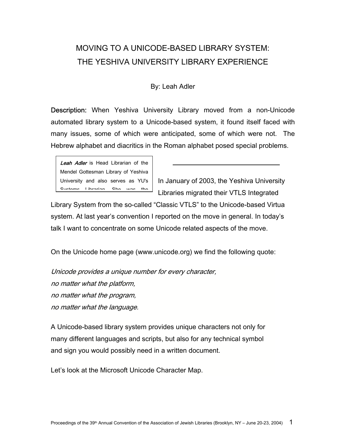## MOVING TO A UNICODE-BASED LIBRARY SYSTEM: THE YESHIVA UNIVERSITY LIBRARY EXPERIENCE

## By: Leah Adler

Description: When Yeshiva University Library moved from a non-Unicode automated library system to a Unicode-based system, it found itself faced with many issues, some of which were anticipated, some of which were not. The Hebrew alphabet and diacritics in the Roman alphabet posed special problems.



In January of 2003, the Yeshiva University Libraries migrated their VTLS Integrated

Library System from the so-called "Classic VTLS" to the Unicode-based Virtua system. At last year's convention I reported on the move in general. In today's talk I want to concentrate on some Unicode related aspects of the move.

On the Unicode home page (www.unicode.org) we find the following quote:

Unicode provides a unique number for every character, no matter what the platform, no matter what the program, no matter what the language.

A Unicode-based library system provides unique characters not only for many different languages and scripts, but also for any technical symbol and sign you would possibly need in a written document.

Let's look at the Microsoft Unicode Character Map.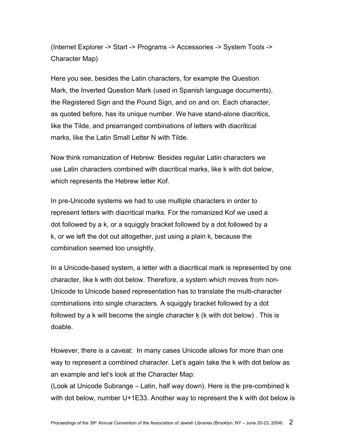(Internet Explorer -> Start -> Programs -> Accessories -> System Tools -> Character Map)

Here you see, besides the Latin characters, for example the Question Mark, the Inverted Question Mark (used in Spanish language documents), the Registered Sign and the Pound Sign, and on and on. Each character, as quoted before, has its unique number. We have stand-alone diacritics, like the Tilde, and prearranged combinations of letters with diacritical marks, like the Latin Small Letter N with Tilde.

Now think romanization of Hebrew: Besides regular Latin characters we use Latin characters combined with diacritical marks, like k with dot below, which represents the Hebrew letter Kof.

In pre-Unicode systems we had to use multiple characters in order to represent letters with diacritical marks. For the romanized Kof we used a dot followed by a k, or a squiggly bracket followed by a dot followed by a k, or we left the dot out altogether, just using a plain k, because the combination seemed too unsightly.

In a Unicode-based system, a letter with a diacritical mark is represented by one character, like k with dot below. Therefore, a system which moves from non-Unicode to Unicode based representation has to translate the multi-character combinations into single characters. A squiggly bracket followed by a dot followed by a k will become the single character k (k with dot below). This is doable.

However, there is a caveat: In many cases Unicode allows for more than one way to represent a combined character. Let's again take the k with dot below as an example and let's look at the Character Map:

(Look at Unicode Subrange – Latin, half way down). Here is the pre-combined k with dot below, number U+1E33. Another way to represent the k with dot below is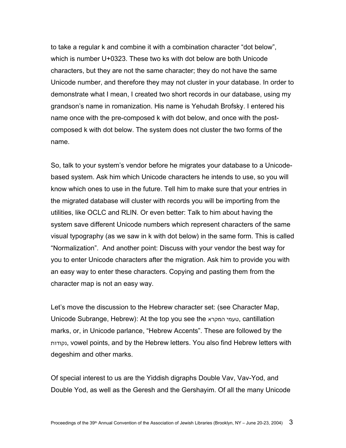to take a regular k and combine it with a combination character "dot below", which is number U+0323. These two ks with dot below are both Unicode characters, but they are not the same character; they do not have the same Unicode number, and therefore they may not cluster in your database. In order to demonstrate what I mean, I created two short records in our database, using my grandson's name in romanization. His name is Yehudah Brofsḳỵ. I entered his name once with the pre-composed k with dot below, and once with the postcomposed k with dot below. The system does not cluster the two forms of the name.

So, talk to your system's vendor before he migrates your database to a Unicodebased system. Ask him which Unicode characters he intends to use, so you will know which ones to use in the future. Tell him to make sure that your entries in the migrated database will cluster with records you will be importing from the utilities, like OCLC and RLIN. Or even better: Talk to him about having the system save different Unicode numbers which represent characters of the same visual typography (as we saw in k with dot below) in the same form. This is called "Normalization". And another point: Discuss with your vendor the best way for you to enter Unicode characters after the migration. Ask him to provide you with an easy way to enter these characters. Copying and pasting them from the character map is not an easy way.

Let's move the discussion to the Hebrew character set: (see Character Map, Unicode Subrange, Hebrew): At the top you see the המקרא טעמי, cantillation marks, or, in Unicode parlance, "Hebrew Accents". These are followed by the נקודות, vowel points, and by the Hebrew letters. You also find Hebrew letters with degeshim and other marks.

Of special interest to us are the Yiddish digraphs Double Vav, Vav-Yod, and Double Yod, as well as the Geresh and the Gershayim. Of all the many Unicode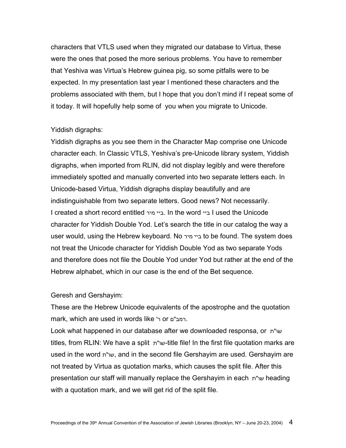characters that VTLS used when they migrated our database to Virtua, these were the ones that posed the more serious problems. You have to remember that Yeshiva was Virtua's Hebrew guinea pig, so some pitfalls were to be expected. In my presentation last year I mentioned these characters and the problems associated with them, but I hope that you don't mind if I repeat some of it today. It will hopefully help some of you when you migrate to Unicode.

## Yiddish digraphs:

Yiddish digraphs as you see them in the Character Map comprise one Unicode character each. In Classic VTLS, Yeshiva's pre-Unicode library system, Yiddish digraphs, when imported from RLIN, did not display legibly and were therefore immediately spotted and manually converted into two separate letters each. In Unicode-based Virtua, Yiddish digraphs display beautifully and are indistinguishable from two separate letters. Good news? Not necessarily. I created a short record entitled מיר ביי. In the word ביי I used the Unicode character for Yiddish Double Yod. Let's search the title in our catalog the way a user would, using the Hebrew keyboard. No מיר ביי to be found. The system does not treat the Unicode character for Yiddish Double Yod as two separate Yods and therefore does not file the Double Yod under Yod but rather at the end of the Hebrew alphabet, which in our case is the end of the Bet sequence.

## Geresh and Gershayim:

These are the Hebrew Unicode equivalents of the apostrophe and the quotation mark, which are used in words like 'ר or רמב"ם.

Look what happened in our database after we downloaded responsa, or ת"שו titles, from RLIN: We have a split ת"שו-title file! In the first file quotation marks are used in the word ת"שו, and in the second file Gershayim are used. Gershayim are not treated by Virtua as quotation marks, which causes the split file. After this presentation our staff will manually replace the Gershayim in each ת"שו heading with a quotation mark, and we will get rid of the split file.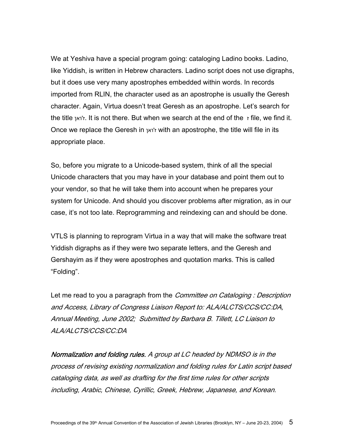We at Yeshiva have a special program going: cataloging Ladino books. Ladino, like Yiddish, is written in Hebrew characters. Ladino script does not use digraphs, but it does use very many apostrophes embedded within words. In records imported from RLIN, the character used as an apostrophe is usually the Geresh character. Again, Virtua doesn't treat Geresh as an apostrophe. Let's search for the title ואן'ז. It is not there. But when we search at the end of the ז file, we find it. Once we replace the Geresh in ואן'ז with an apostrophe, the title will file in its appropriate place.

So, before you migrate to a Unicode-based system, think of all the special Unicode characters that you may have in your database and point them out to your vendor, so that he will take them into account when he prepares your system for Unicode. And should you discover problems after migration, as in our case, it's not too late. Reprogramming and reindexing can and should be done.

VTLS is planning to reprogram Virtua in a way that will make the software treat Yiddish digraphs as if they were two separate letters, and the Geresh and Gershayim as if they were apostrophes and quotation marks. This is called "Folding".

Let me read to you a paragraph from the *Committee on Cataloging : Description* and Access, Library of Congress Liaison Report to: ALA/ALCTS/CCS/CC:DA, Annual Meeting, June 2002; Submitted by Barbara B. Tillett, LC Liaison to ALA/ALCTS/CCS/CC:DA

Normalization and folding rules. A group at LC headed by NDMSO is in the process of revising existing normalization and folding rules for Latin script based cataloging data, as well as drafting for the first time rules for other scripts including, Arabic, Chinese, Cyrillic, Greek, Hebrew, Japanese, and Korean.